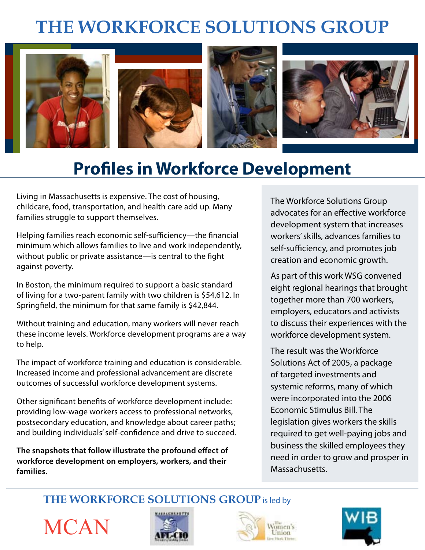# **THE WORKFORCE SOLUTIONS GROUP**



# **Profiles in Workforce Development**

Living in Massachusetts is expensive. The cost of housing, childcare, food, transportation, and health care add up. Many families struggle to support themselves.

Helping families reach economic self-sufficiency—the financial minimum which allows families to live and work independently, without public or private assistance—is central to the fight against poverty.

In Boston, the minimum required to support a basic standard of living for a two-parent family with two children is \$54,612. In Springfield, the minimum for that same family is \$42,844.

Without training and education, many workers will never reach these income levels. Workforce development programs are a way to help.

The impact of workforce training and education is considerable. Increased income and professional advancement are discrete outcomes of successful workforce development systems.

Other significant benefits of workforce development include: providing low-wage workers access to professional networks, postsecondary education, and knowledge about career paths; and building individuals' self-confidence and drive to succeed.

**The snapshots that follow illustrate the profound effect of workforce development on employers, workers, and their families.**

The Workforce Solutions Group advocates for an effective workforce development system that increases workers' skills, advances families to self-sufficiency, and promotes job creation and economic growth.

As part of this work WSG convened eight regional hearings that brought together more than 700 workers, employers, educators and activists to discuss their experiences with the workforce development system.

The result was the Workforce Solutions Act of 2005, a package of targeted investments and systemic reforms, many of which were incorporated into the 2006 Economic Stimulus Bill. The legislation gives workers the skills required to get well-paying jobs and business the skilled employees they need in order to grow and prosper in Massachusetts.

**THE WORKFORCE SOLUTIONS GROUP** is led by

**MCAN** 





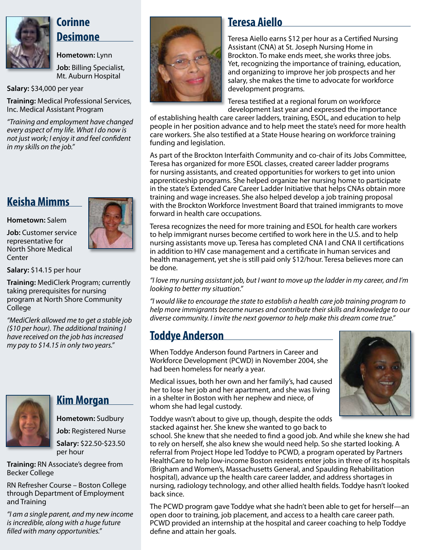

### **Corinne Desimone**

**Hometown:** Lynn

**Job:** Billing Specialist, Mt. Auburn Hospital

**Salary:** \$34,000 per year

**Training:** Medical Professional Services, Inc. Medical Assistant Program

*"Training and employment have changed every aspect of my life. What I do now is not just work; I enjoy it and feel confident in my skills on the job."*

# **Keisha Mimms**

**Hometown:** Salem

**Job:** Customer service representative for North Shore Medical Center

**Salary:** \$14.15 per hour

**Training:** MediClerk Program; currently taking prerequisites for nursing program at North Shore Community College

*"MediClerk allowed me to get a stable job (\$10 per hour). The additional training I have received on the job has increased my pay to \$14.15 in only two years."*



### **Kim Morgan**

**Hometown:** Sudbury

**Job:** Registered Nurse

**Salary:** \$22.50-\$23.50 per hour

**Training:** RN Associate's degree from Becker College

RN Refresher Course – Boston College through Department of Employment and Training

*"I am a single parent, and my new income is incredible, along with a huge future filled with many opportunities."*



### **Teresa Aiello**

Teresa Aiello earns \$12 per hour as a Certified Nursing Assistant (CNA) at St. Joseph Nursing Home in Brockton. To make ends meet, she works three jobs. Yet, recognizing the importance of training, education, and organizing to improve her job prospects and her salary, she makes the time to advocate for workforce development programs.

Teresa testified at a regional forum on workforce development last year and expressed the importance

of establishing health care career ladders, training, ESOL, and education to help people in her position advance and to help meet the state's need for more health care workers. She also testified at a State House hearing on workforce training funding and legislation.

As part of the Brockton Interfaith Community and co-chair of its Jobs Committee, Teresa has organized for more ESOL classes, created career ladder programs for nursing assistants, and created opportunities for workers to get into union apprenticeship programs. She helped organize her nursing home to participate in the state's Extended Care Career Ladder Initiative that helps CNAs obtain more training and wage increases. She also helped develop a job training proposal with the Brockton Workforce Investment Board that trained immigrants to move forward in health care occupations.

Teresa recognizes the need for more training and ESOL for health care workers to help immigrant nurses become certified to work here in the U.S. and to help nursing assistants move up. Teresa has completed CNA I and CNA II certifications in addition to HIV case management and a certificate in human services and health management, yet she is still paid only \$12/hour. Teresa believes more can be done.

*"I love my nursing assistant job, but I want to move up the ladder in my career, and I'm looking to better my situation."*

*"I would like to encourage the state to establish a health care job training program to help more immigrants become nurses and contribute their skills and knowledge to our diverse community. I invite the next governor to help make this dream come true."*

## **Toddye Anderson**

When Toddye Anderson found Partners in Career and Workforce Development (PCWD) in November 2004, she had been homeless for nearly a year.

Medical issues, both her own and her family's, had caused her to lose her job and her apartment, and she was living in a shelter in Boston with her nephew and niece, of whom she had legal custody.

Toddye wasn't about to give up, though, despite the odds stacked against her. She knew she wanted to go back to

school. She knew that she needed to find a good job. And while she knew she had to rely on herself, she also knew she would need help. So she started looking. A referral from Project Hope led Toddye to PCWD, a program operated by Partners HealthCare to help low-income Boston residents enter jobs in three of its hospitals (Brigham and Women's, Massachusetts General, and Spaulding Rehabilitation hospital), advance up the health care career ladder, and address shortages in nursing, radiology technology, and other allied health fields. Toddye hasn't looked back since.

The PCWD program gave Toddye what she hadn't been able to get for herself—an open door to training, job placement, and access to a health care career path. PCWD provided an internship at the hospital and career coaching to help Toddye define and attain her goals.



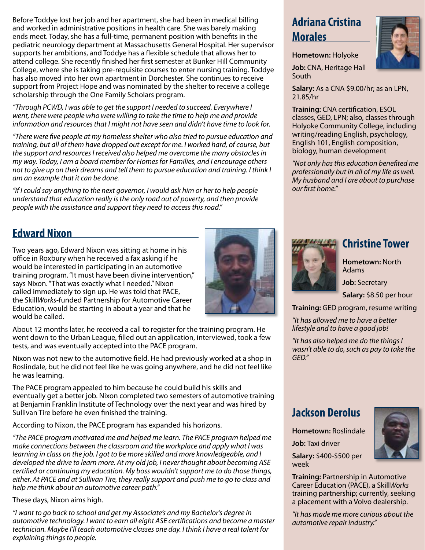Before Toddye lost her job and her apartment, she had been in medical billing and worked in administrative positions in health care. She was barely making ends meet. Today, she has a full-time, permanent position with benefits in the pediatric neurology department at Massachusetts General Hospital. Her supervisor supports her ambitions, and Toddye has a flexible schedule that allows her to attend college. She recently finished her first semester at Bunker Hill Community College, where she is taking pre-requisite courses to enter nursing training. Toddye has also moved into her own apartment in Dorchester. She continues to receive support from Project Hope and was nominated by the shelter to receive a college scholarship through the One Family Scholars program.

*"Through PCWD, I was able to get the support I needed to succeed. Everywhere I went, there were people who were willing to take the time to help me and provide information and resources that I might not have seen and didn't have time to look for.* 

*"There were five people at my homeless shelter who also tried to pursue education and training, but all of them have dropped out except for me. I worked hard, of course, but the support and resources I received also helped me overcome the many obstacles in my way. Today, I am a board member for Homes for Families, and I encourage others not to give up on their dreams and tell them to pursue education and training. I think I am an example that it can be done.*

*"If I could say anything to the next governor, I would ask him or her to help people understand that education really is the only road out of poverty, and then provide people with the assistance and support they need to access this road."*

### **Edward Nixon**

Two years ago, Edward Nixon was sitting at home in his office in Roxbury when he received a fax asking if he would be interested in participating in an automotive training program. "It must have been divine intervention," says Nixon. "That was exactly what I needed." Nixon called immediately to sign up. He was told that PACE, the Skill*Works*-funded Partnership for Automotive Career Education, would be starting in about a year and that he would be called.



Nixon was not new to the automotive field. He had previously worked at a shop in Roslindale, but he did not feel like he was going anywhere, and he did not feel like he was learning.

The PACE program appealed to him because he could build his skills and eventually get a better job. Nixon completed two semesters of automotive training at Benjamin Franklin Institute of Technology over the next year and was hired by Sullivan Tire before he even finished the training.

According to Nixon, the PACE program has expanded his horizons.

*"The PACE program motivated me and helped me learn. The PACE program helped me make connections between the classroom and the workplace and apply what I was learning in class on the job. I got to be more skilled and more knowledgeable, and I developed the drive to learn more. At my old job, I never thought about becoming ASE certified or continuing my education. My boss wouldn't support me to do those things, either. At PACE and at Sullivan Tire, they really support and push me to go to class and help me think about an automotive career path."*

#### These days, Nixon aims high.

*"I want to go back to school and get my Associate's and my Bachelor's degree in automotive technology. I want to earn all eight ASE certifications and become a master technician. Maybe I'll teach automotive classes one day. I think I have a real talent for explaining things to people.*

### **Adriana Cristina Morales**



**Job:** CNA, Heritage Hall South

**Salary:** As a CNA \$9.00/hr; as an LPN, 21.85/hr

**Training:** CNA certification, ESOL classes, GED, LPN; also, classes through Holyoke Community College, including writing/reading English, psychology, English 101, English composition, biology, human development

*"Not only has this education benefited me professionally but in all of my life as well. My husband and I are about to purchase our first home."*



### **Christine Tower**

**Hometown:** North Adams

**Job:** Secretary

**Salary:** \$8.50 per hour

**Training:** GED program, resume writing

*"It has allowed me to have a better lifestyle and to have a good job!*

*"It has also helped me do the things I wasn't able to do, such as pay to take the GED."*

### **Jackson Derolus**

**Hometown:** Roslindale **Job:** Taxi driver **Salary:** \$400-\$500 per week

**Training:** Partnership in Automotive Career Education (PACE), a Skill*Works* training partnership; currently, seeking a placement with a Volvo dealership.

*"It has made me more curious about the automotive repair industry."*